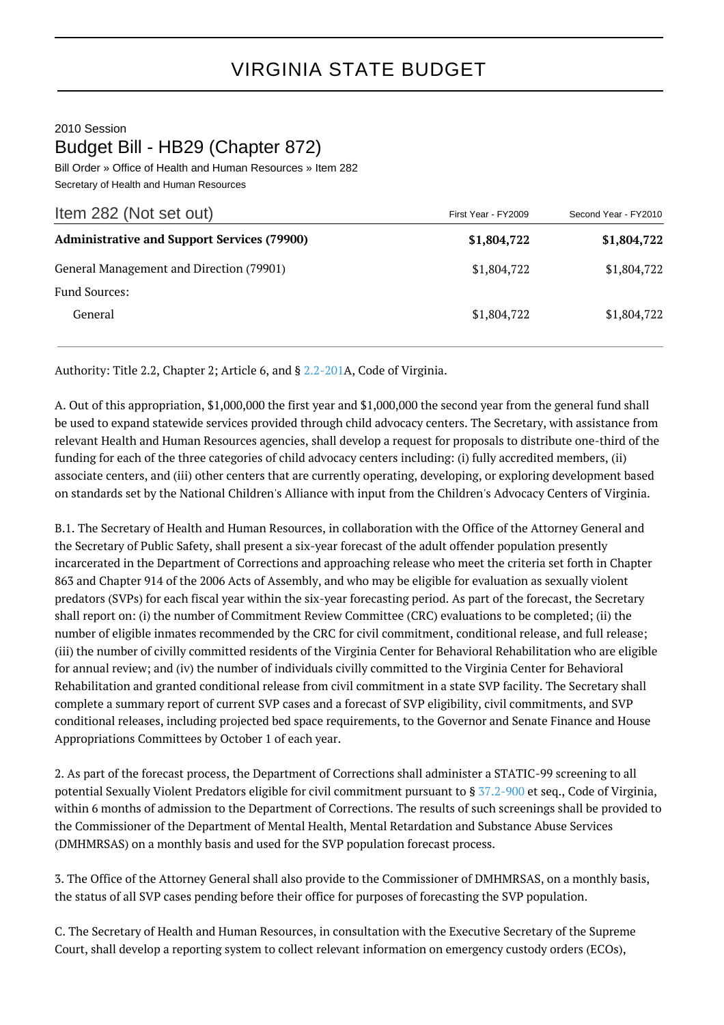## 2010 Session Budget Bill - HB29 (Chapter 872)

Bill Order » Office of Health and Human Resources » Item 282 Secretary of Health and Human Resources

| Item 282 (Not set out)                             | First Year - FY2009 | Second Year - FY2010 |
|----------------------------------------------------|---------------------|----------------------|
| <b>Administrative and Support Services (79900)</b> | \$1,804,722         | \$1,804,722          |
| General Management and Direction (79901)           | \$1,804,722         | \$1,804,722          |
| <b>Fund Sources:</b>                               |                     |                      |
| General                                            | \$1,804,722         | \$1,804,722          |

Authority: Title 2.2, Chapter 2; Article 6, and § [2.2-201A](http://law.lis.virginia.gov/vacode/2.2-201/), Code of Virginia.

A. Out of this appropriation, \$1,000,000 the first year and \$1,000,000 the second year from the general fund shall be used to expand statewide services provided through child advocacy centers. The Secretary, with assistance from relevant Health and Human Resources agencies, shall develop a request for proposals to distribute one-third of the funding for each of the three categories of child advocacy centers including: (i) fully accredited members, (ii) associate centers, and (iii) other centers that are currently operating, developing, or exploring development based on standards set by the National Children's Alliance with input from the Children's Advocacy Centers of Virginia.

B.1. The Secretary of Health and Human Resources, in collaboration with the Office of the Attorney General and the Secretary of Public Safety, shall present a six-year forecast of the adult offender population presently incarcerated in the Department of Corrections and approaching release who meet the criteria set forth in Chapter 863 and Chapter 914 of the 2006 Acts of Assembly, and who may be eligible for evaluation as sexually violent predators (SVPs) for each fiscal year within the six-year forecasting period. As part of the forecast, the Secretary shall report on: (i) the number of Commitment Review Committee (CRC) evaluations to be completed; (ii) the number of eligible inmates recommended by the CRC for civil commitment, conditional release, and full release; (iii) the number of civilly committed residents of the Virginia Center for Behavioral Rehabilitation who are eligible for annual review; and (iv) the number of individuals civilly committed to the Virginia Center for Behavioral Rehabilitation and granted conditional release from civil commitment in a state SVP facility. The Secretary shall complete a summary report of current SVP cases and a forecast of SVP eligibility, civil commitments, and SVP conditional releases, including projected bed space requirements, to the Governor and Senate Finance and House Appropriations Committees by October 1 of each year.

2. As part of the forecast process, the Department of Corrections shall administer a STATIC-99 screening to all potential Sexually Violent Predators eligible for civil commitment pursuant to § [37.2-900](http://law.lis.virginia.gov/vacode/37.2-900/) et seq., Code of Virginia, within 6 months of admission to the Department of Corrections. The results of such screenings shall be provided to the Commissioner of the Department of Mental Health, Mental Retardation and Substance Abuse Services (DMHMRSAS) on a monthly basis and used for the SVP population forecast process.

3. The Office of the Attorney General shall also provide to the Commissioner of DMHMRSAS, on a monthly basis, the status of all SVP cases pending before their office for purposes of forecasting the SVP population.

C. The Secretary of Health and Human Resources, in consultation with the Executive Secretary of the Supreme Court, shall develop a reporting system to collect relevant information on emergency custody orders (ECOs),